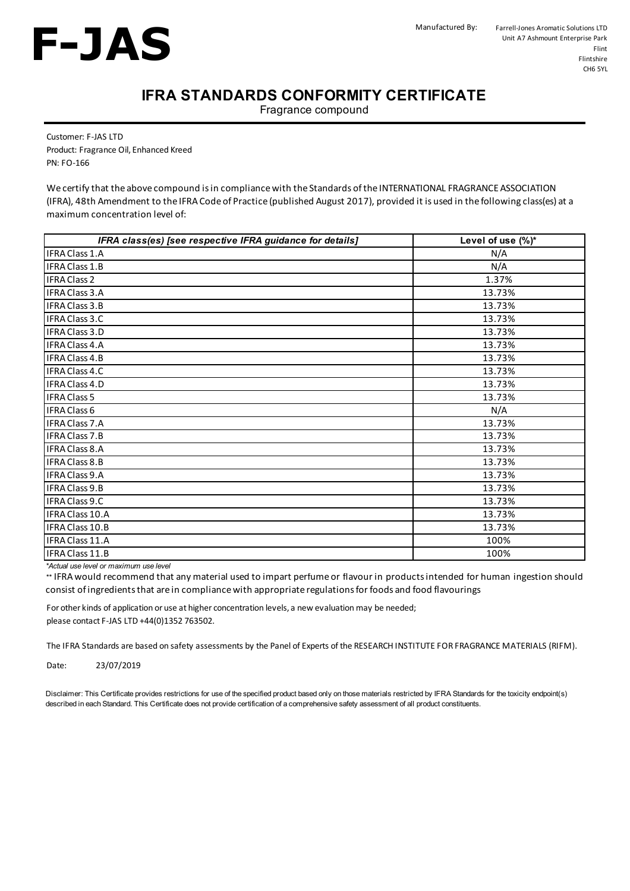

## **IFRA STANDARDS CONFORMITY CERTIFICATE**

Fragrance compound

Customer: F-JAS LTD Product: Fragrance Oil, Enhanced Kreed PN: FO-166

We certify that the above compound is in compliance with the Standards of the INTERNATIONAL FRAGRANCE ASSOCIATION (IFRA), 48th Amendment to the IFRA Code of Practice (published August 2017), provided it is used in the following class(es) at a maximum concentration level of:

| IFRA class(es) [see respective IFRA guidance for details] | Level of use (%)* |
|-----------------------------------------------------------|-------------------|
| <b>IFRA Class 1.A</b>                                     | N/A               |
| IFRA Class 1.B                                            | N/A               |
| <b>IFRA Class 2</b>                                       | 1.37%             |
| <b>IFRA Class 3.A</b>                                     | 13.73%            |
| IFRA Class 3.B                                            | 13.73%            |
| IFRA Class 3.C                                            | 13.73%            |
| IFRA Class 3.D                                            | 13.73%            |
| IFRA Class 4.A                                            | 13.73%            |
| IFRA Class 4.B                                            | 13.73%            |
| <b>IFRA Class 4.C</b>                                     | 13.73%            |
| <b>IFRA Class 4.D</b>                                     | 13.73%            |
| <b>IFRA Class 5</b>                                       | 13.73%            |
| <b>IFRA Class 6</b>                                       | N/A               |
| <b>IFRA Class 7.A</b>                                     | 13.73%            |
| <b>IFRA Class 7.B</b>                                     | 13.73%            |
| <b>IFRA Class 8.A</b>                                     | 13.73%            |
| IFRA Class 8.B                                            | 13.73%            |
| IFRA Class 9.A                                            | 13.73%            |
| IFRA Class 9.B                                            | 13.73%            |
| IFRA Class 9.C                                            | 13.73%            |
| IFRA Class 10.A                                           | 13.73%            |
| IFRA Class 10.B                                           | 13.73%            |
| IFRA Class 11.A                                           | 100%              |
| IFRA Class 11.B                                           | 100%              |

*\*Actual use level or maximum use level*

*\*\** IFRA would recommend that any material used to impart perfume or flavour in productsintended for human ingestion should consist of ingredients that are in compliance with appropriate regulations for foods and food flavourings

For other kinds of application or use at higher concentration levels, a new evaluation may be needed; please contact F-JAS LTD +44(0)1352 763502.

The IFRA Standards are based on safety assessments by the Panel of Experts of the RESEARCH INSTITUTE FOR FRAGRANCE MATERIALS (RIFM).

Date: 23/07/2019

Disclaimer: This Certificate provides restrictions for use of the specified product based only on those materials restricted by IFRA Standards for the toxicity endpoint(s) described in each Standard. This Certificate does not provide certification of a comprehensive safety assessment of all product constituents.